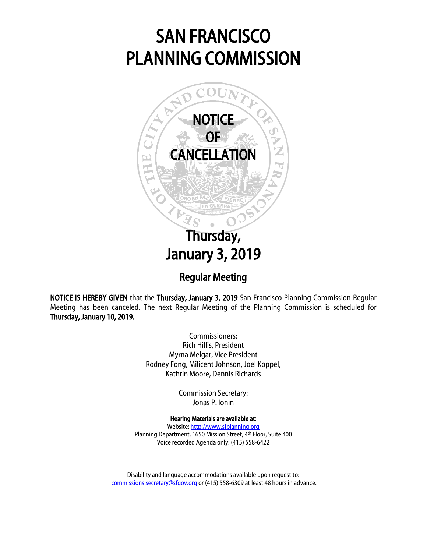## SAN FRANCISCO PLANNING COMMISSION



NOTICE IS HEREBY GIVEN that the Thursday, January 3, 2019 San Francisco Planning Commission Regular Meeting has been canceled. The next Regular Meeting of the Planning Commission is scheduled for Thursday, January 10, 2019.

> Commissioners: Rich Hillis, President Myrna Melgar, Vice President Rodney Fong, Milicent Johnson, Joel Koppel, Kathrin Moore, Dennis Richards

> > Commission Secretary: Jonas P. Ionin

## Hearing Materials are available at:

Website[: http://www.sfplanning.org](http://www.sfplanning.org/) Planning Department, 1650 Mission Street, 4th Floor, Suite 400 Voice recorded Agenda only: (415) 558-6422

Disability and language accommodations available upon request to: [commissions.secretary@sfgov.org](mailto:commissions.secretary@sfgov.org) or (415) 558-6309 at least 48 hours in advance.